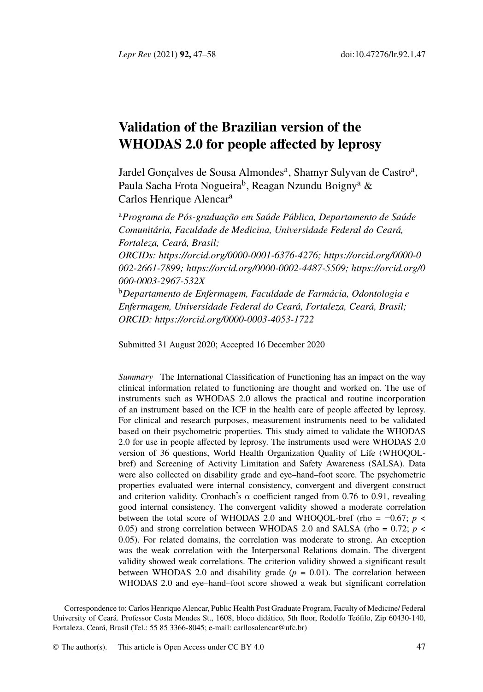*Lepr Rev* (2021) **92,** 47–58 doi:10.47276/lr.92.[1](#page-0-0).47

# <span id="page-0-0"></span>**Validation of the Brazilian version of the WHO[DAS 2.0 for people affected](https://orcid.org/0000-0001-6376-4276) [by leprosy](https://orcid.org/0000-0002-2661-7899)**

[Jardel Gonçalves de](https://orcid.org/0000-0003-2967-532X) [Sousa Almondes](https://orcid.org/0000-0002-4487-5509)<sup>[a](https://orcid.org/0000-0003-2967-532X)</sup>[, Shamyr Suly](https://orcid.org/0000-0002-4487-5509)[van de Castro](https://orcid.org/0000-0003-2967-532X)<sup>a</sup>[,](https://orcid.org/0000-0003-2967-532X) Paula Sacha Frota Nogueira<sup>b</sup>, Reagan Nzundu Boigny<sup>a</sup> & Carlos Henrique Alencar<sup>a</sup>

<sup>a</sup>*Progra[ma de Pós-graduação em Saúde Pública,](https://orcid.org/0000-0003-4053-1722) Departamento de Saúde Comunitária, Faculdade de Medicina, Universidade Federal do Ceará, Fortaleza, Ceará, Brasil;*

*ORCIDs: https://orcid.org/0000-0001-6376-4276; https://orcid.org/0000-0 002-2661-7899; https://orcid.org/0000-0002-4487-5509; https://orcid.org/0 000-0003-2967-532X*

<sup>b</sup>*Departamento de Enfermagem, Faculdade de Farmácia, Odontologia e Enfermagem, Universidade Federal do Ceará, Fortaleza, Ceará, Brasil; ORCID: https://orcid.org/0000-0003-4053-1722*

Submitted 31 August 2020; Accepted 16 December 2020

*Summary* The International Classification of Functioning has an impact on the way clinical information related to functioning are thought and worked on. The use of instruments such as WHODAS 2.0 allows the practical and routine incorporation of an instrument based on the ICF in the health care of people affected by leprosy. For clinical and research purposes, measurement instruments need to be validated based on their psychometric properties. This study aimed to validate the WHODAS 2.0 for use in people affected by leprosy. The instruments used were WHODAS 2.0 version of 36 questions, World Health Organization Quality of Life (WHOQOLbref) and Screening of Activity Limitation and Safety Awareness (SALSA). Data were also collected on disability grade and eye–hand–foot score. The psychometric properties evaluated were internal consistency, convergent and divergent construct and criterion validity. Cronbach's  $\alpha$  coefficient ranged from 0.76 to 0.91, revealing good internal consistency. The convergent validity showed a moderate correlation between the total score of W[HODAS 2.0 and WH](mailto:carllosalencar@ufc.br)OQOL-bref (rho = −0.67; *p* < 0.05) and strong correlation between WHODAS 2.0 and SALSA (rho =  $0.72$ ;  $p \lt \theta$ 0.05). For related domains, t[he correla](http://creativecommons.org/licenses/by/4.0/)tion was moderate to strong. An exception was the weak correlation with the Interpersonal Relations domain. The divergent validity showed weak correlations. The criterion validity showed a significant result between WHODAS 2.0 and disability grade  $(p = 0.01)$ . The correlation between WHODAS 2.0 and eye-hand–foot score showed a weak but significant correlation

Correspondence to: Carlos Henrique Alencar, Public Health Post Graduate Program, Faculty of Medicine/ Federal University of Ceará. Professor Costa Mendes St., 1608, bloco didático, 5th floor, Rodolfo Teófilo, Zip 60430-140, Fortaleza, Ceará, Brasil (Tel.: 55 85 3366-8045; e-mail: carllosalencar@ufc.br)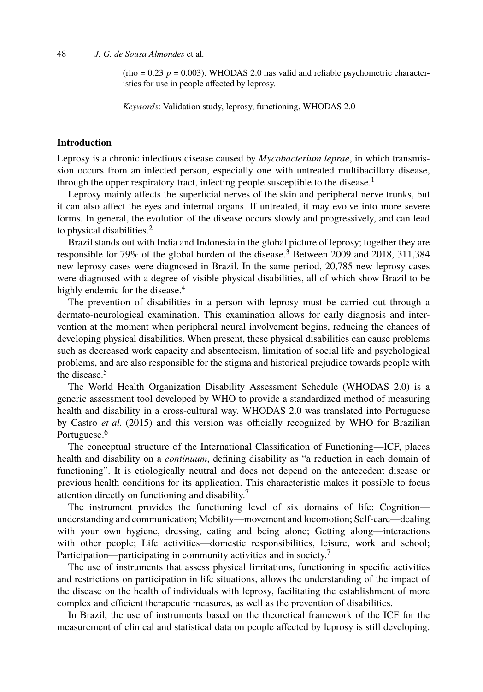$(rho = 0.23 \, p = 0.003)$ . WHODAS 2.0 has valid and reliable psycho[m](#page-10-0)etric characteristics for use in people affected by leprosy.

*Keywords*: Validation study, leprosy, functioning, WHODAS 2.0

#### **Introduction**

Leprosy is a chronic infectious disease caused by *Mycobacterium leprae*, in which transmission occurs from an infected person, especially one with untreated multibacillary disease, through the upper respi[ra](#page-10-1)tory tract, infecting people susceptible to the disease.<sup>1</sup>

Leprosy mainly affects the superficial nerves of the skin and peripheral nerve trunks, but it can also affect the eyes and internal organs. If untreated, it may evolve into more severe forms. In general, the evolution of the disease occurs slowly and progressively, and can lead to physical disabilities.<sup>2</sup>

Brazil stands out with India and Indonesia in the global picture of leprosy; together they are responsible for 79% of the global burden of the disease.<sup>3</sup> Between 2009 and 2018, 311,384 new lepros[y](#page-10-2) cases were diagnosed in Brazil. In the same period, 20,785 new leprosy cases were diagnosed with a degree of visible physical disabilities, all of which show Brazil to be highly endemic for the disease.<sup>4</sup>

The prevention of disabilities in a person with leprosy must be carried out through a dermato-neurological examination. This examination allows for early diagnosis and intervention at t[h](#page-10-3)e moment when peripheral neural involvement begins, reducing the chances of developing physical disabilities. When present, these physical disabilities can cause problems such as decreased work capacity and absenteeism, limitation of social life and psychological problems, and are also responsible for the stigma and historical prejudice towards people with the disease.<sup>5</sup>

The World Health Organization Disabilit[y](#page-10-4) Assessment Schedule (WHODAS 2.0) is a generic assessment tool developed by WHO to provide a standardized method of measuring health and disability in a cross-cultural way. WHODAS 2.0 was translated into Portuguese by Castro *et al.* (2015) and this version was officially recognized by WHO for Brazilian Portuguese.<sup>6</sup>

The conceptual structure of the International Classification of [F](#page-10-4)unctioning—ICF, places health and disability on a *continuum*, defining disability as "a reduction in each domain of functioning". It is etiologically neutral and does not depend on the antecedent disease or previous health conditions for its application. This characteristic makes it possible to focus attention directly on functioning and disability.<sup>7</sup>

The instrument provides the functioning level of six domains of life: Cognition understanding and communication; Mobility—movement and locomotion; Self-care—dealing with your own hygiene, dressing, eating and being alone; Getting along—interactions with other people; Life activities—domestic responsibilities, leisure, work and school; Participation—participating in community activities and in society.<sup>7</sup>

The use of instruments that assess physical limitations, functioning in specific activities and restrictions on participation in life situations, allows the understanding of the impact of the disease on the health of individuals with leprosy, facilitating the establishment of more complex and efficient therapeutic measures, as well as the prevention of disabilities.

In Brazil, the use of instruments based on the theoretical framework of the ICF for the measurement of clinical and statistical data on people affected by leprosy is still developing.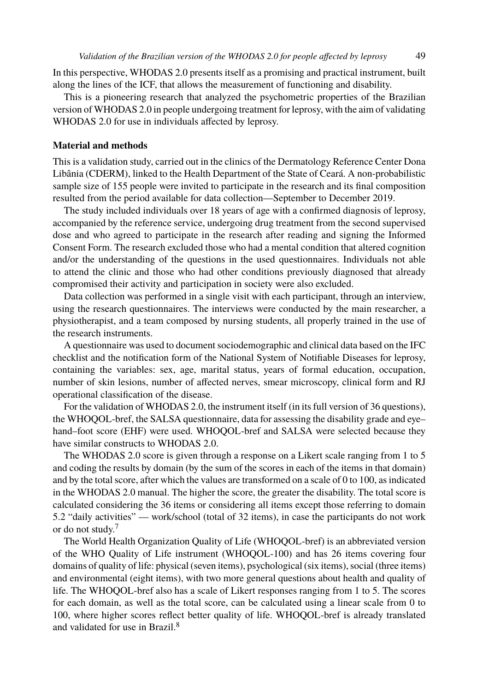In this perspective, WHODAS 2.0 presents itself as a promising and practical instrument, built along the lines of the ICF, that allows the measurement of functioning and disability.

This is a pioneering research that analyzed the psychometric properties of the Brazilian version of WHODAS 2.0 in people undergoing treatment for leprosy, with the aim of validating WHODAS 2.0 for use in individuals affected by leprosy.

#### **Material and methods**

This is a validation study, carried out in the clinics of the Dermatology Reference Center Dona Libânia (CDERM), linked to the Health Department of the State of Ceará. A non-probabilistic sample size of 155 people were invited to participate in the research and its final composition resulted from the period available for data collection—September to December 2019.

The study included individuals over 18 years of age with a confirmed diagnosis of leprosy, accompanied by the reference service, undergoing drug treatment from the second supervised dose and who agreed to participate in the research after reading and signing the Informed Consent Form. The research excluded those who had a mental condition that altered cognition and/or the understanding of the questions in the used questionnaires. Individuals not able to attend the clinic and those who had other conditions previously diagnosed that already compromised their activity and participation in society were also excluded.

Data collection was performed in a single visit with each participant, through an interview, using the research questionnaires. The interviews were conducted by the main researcher, a physiotherapist, and a team composed by nursing students, all properly trained in the use of the research instruments.

A questionnaire was used to document sociodemographic and clinical data based on the IFC checklist and the notification form of the National System of Notifiable Diseases for leprosy, containing the variables: sex, age, marital status, years of formal education, occupation, number of skin lesions, number of affected nerves, smear microscopy, clinical form and RJ operational classification of the disease.

For the validation of WHODAS 2.0, the instrument itself (in its full version of 36 questions), the WHOQOL[-b](#page-10-4)ref, the SALSA questionnaire, data for assessing the disability grade and eye– hand–foot score (EHF) were used. WHOQOL-bref and SALSA were selected because they have similar constructs to WHODAS 2.0.

The WHODAS 2.0 score is given through a response on a Likert scale ranging from 1 to 5 and coding the results by domain (by the sum of the scores in each of the items in that domain) and by the total score, after which the values are transformed on a scale of 0 to 100, as indicated in the WHODAS 2.0 manual. The higher the score, the greater the disability. The total score is calculated considering the 36 items or considering all items except those referring to domain 5.2 "daily activities" — work/[sc](#page-10-5)hool (total of 32 items), in case the participants do not work or do not study.<sup>7</sup>

The World Health Organization Quality of Life (WHOQOL-bref) is an abbreviated version of the WHO Quality of Life instrument (WHOQOL-100) and has 26 items covering four domains of quality of life: physical (seven items), psychological (six items), social (three items) and environmental (eight items), with two more general questions about health and quality of life. The WHOQOL-bref also has a scale of Likert responses ranging from 1 to 5. The scores for each domain, as well as the total score, can be calculated using a linear scale from 0 to 100, where higher scores reflect better quality of life. WHOQOL-bref is already translated and validated for use in Brazil.<sup>8</sup>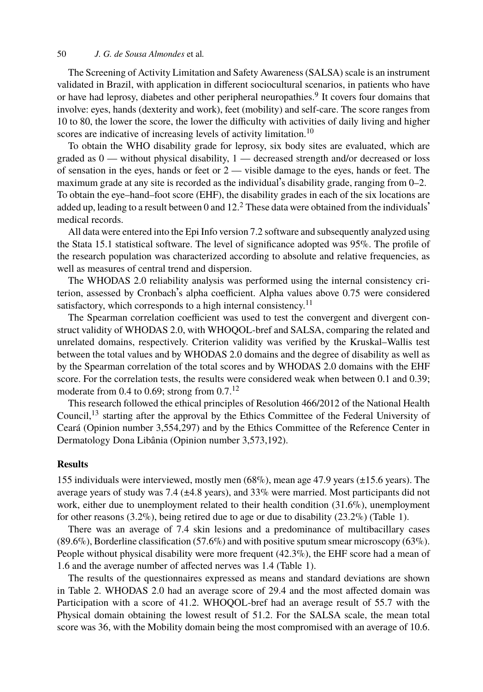The Screening of Activity Limitation and Safety Awareness (SALSA) scale is an instrument validated in Brazil, with application in different sociocultural scenarios, in patients who have or [h](#page-10-6)ave had leprosy, diabetes and other peripheral neuropathies.<sup>9</sup> It covers four domains that involve: eyes, hands (dexterity and work), feet (mobility) and self-care. The score ranges from 10 to 80, the lower the score, the lower the difficulty with activities of daily living and higher scores are indicative of increasing levels of activity limitation.<sup>10</sup>

To obtain the WHO disability grade for leprosy, six body sites are evaluated, which are graded as  $0$  — without physical disability,  $1$  — decreased strength and/or decreased or loss of sensation in the eyes, hands or feet or 2 — visible damage to the eyes, hands or feet. The maximum grade at any site is recorded as the individual's disability grade, ranging from 0–2. To obtain the eye–hand–foot score (EHF), the disability grade[s in](#page-10-7) each of the six locations are added up, leading to a result between 0 and  $12<sup>2</sup>$  These data were obtained from the individuals<sup>'</sup> medical records.

All data were entered into the Epi Info version 7.2 software and subsequently analyzed using the Stata 15.1 statistical software. The level of significance adopted was 95%. The profile of the research population was characterized according to absolute and relative frequencies, as well as measures of central trend and dispersion.

The WHODAS 2.0 reliability analysis [was](#page-10-8) performed using the internal consistency criterion, assessed by Cronbach's alpha coefficient. Alpha values above 0.75 were considered satisfact[ory](#page-10-9), which corresponds to a high internal consistency.<sup>11</sup>

The Spearman correlation coefficient was used to test the convergent and divergent construct validity of WHODAS 2.0, with WHOQOL-bref and SALSA, comparing the related and unrelated domains, respectively. Criterion validity was verified by the Kruskal–Wallis test between the total values and by WHODAS 2.0 domains and the degree of disability as well as by the Spearman correlation of the total scores and by WHODAS 2.0 domains with the EHF score. For the correlation tests, the results were considered weak when between 0.1 and 0.39; moderate from 0.4 to 0.69; strong from  $0.7$ .<sup>12</sup>

This research followed the ethical principles of Resolution 466/2012 of the Nation[al](#page-4-0) Health Council,<sup>13</sup> starting after the approval by the Ethics Committee of the Federal University of Ceará (Opinion number 3,554,297) and by the Ethics Committee of the Reference Center in Dermatology Dona Libânia (Opinion number 3,573,192).

#### **Results**

155 indi[vid](#page-5-0)uals were interviewed, mostly men (68%), mean age 47.9 years (±15.6 years). The average years of study was 7.4 (±4.8 years), and 33% were married. Most participants did not work, either due to unemployment related to their health condition  $(31.6\%)$ , unemployment for other reasons (3.2%), being retired due to age or due to disability (23.2%) (Table 1).

There was an average of 7.4 skin lesions and a predominance of multibacillary cases (89.6%), Borderline classification (57.6%) and with positive sputum smear microscopy (63%). People without physical disability were more frequent (42.3%), the EHF score had a mean of 1.6 and the average number of affected nerves was 1.4 (Table 1).

The results of the questionnaires expressed as means and standard deviations are shown in Table 2. WHODAS 2.0 had an average score of 29.4 and the most affected domain was Participation with a score of 41.2. WHOQOL-bref had an average result of 55.7 with the Physical domain obtaining the lowest result of 51.2. For the SALSA scale, the mean total score was 36, with the Mobility domain being the most compromised with an average of 10.6.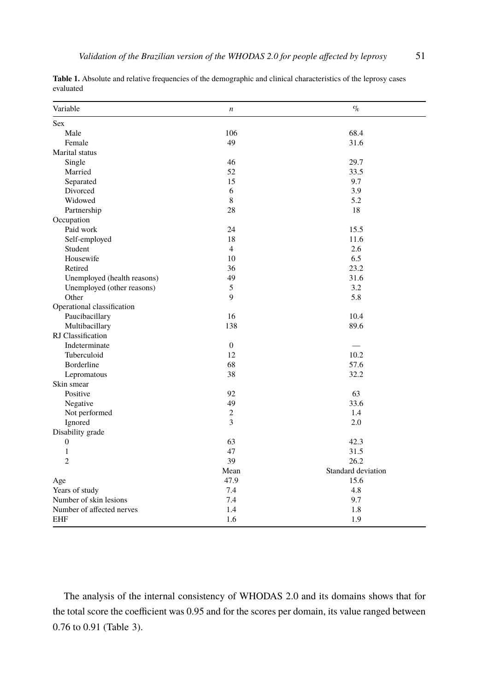<span id="page-4-0"></span>

| Validation of the Brazilian version of the WHODAS 2.0 for people affected by leprosy |  |
|--------------------------------------------------------------------------------------|--|
|                                                                                      |  |

**Table 1.** Absolute and relative frequencies of the demographic and clinical characteristics of the leprosy cases evaluated

| Variable                    | $\boldsymbol{n}$ | $\%$               |
|-----------------------------|------------------|--------------------|
| Sex                         |                  |                    |
| Male                        | 106              | 68.4               |
| Female                      | 49               | 31.6               |
| Marital status              |                  |                    |
| Single                      | 46               | 29.7               |
| Married                     | 52               | 33.5               |
| Separated                   | 15               | 9.7                |
| Divorced                    | 6                | 3.9                |
| Widowed                     | 8                | 5.2                |
| Partnership                 | 28               | 18                 |
| Occupation                  |                  |                    |
| Paid work                   | 24               | 15.5               |
| Self-employed               | 18               | 11.6               |
| Student                     | $\overline{4}$   | 2.6                |
| Housewife                   | 10               | 6.5                |
| Retired                     | 36               | 23.2               |
| Unemployed (health reasons) | 49               | 31.6               |
| Unemployed (other reasons)  | 5                | 3.2                |
| Other                       | 9                | 5.8                |
| Operational classification  |                  |                    |
| Paucibacillary              | 16               | 10.4               |
| Multibacillary              | 138              | 89.6               |
| RJ Classification           |                  |                    |
| Indeterminate               | $\boldsymbol{0}$ |                    |
| Tuberculoid                 | 12               | 10.2               |
| Borderline                  | 68               | 57.6               |
| Lepromatous                 | 38               | 32.2               |
| Skin smear                  |                  |                    |
| Positive                    | 92               | 63                 |
| Negative                    | 49               | 33.6               |
| Not performed               | $\mathfrak{2}$   | 1.4                |
| Ignored                     | 3                | 2.0                |
| Disability grade            |                  |                    |
| $\boldsymbol{0}$            | 63               | 42.3               |
| 1                           | 47               | 31.5               |
| $\overline{c}$              | 39               | 26.2               |
|                             | Mean             | Standard deviation |
| Age                         | 47.9             | 15.6               |
| Years of study              | 7.4              | 4.8                |
| Number of skin lesions      | 7.4              | 9.7                |
| Number of affected nerves   | 1.4              | 1.8                |
| <b>EHF</b>                  | 1.6              | 1.9                |

The analysis of the internal consistency of WHODAS 2.0 and its domains shows that for the total score the coefficient was 0.95 and for the scores per domain, its value ranged between 0.76 to 0.91 (Table 3).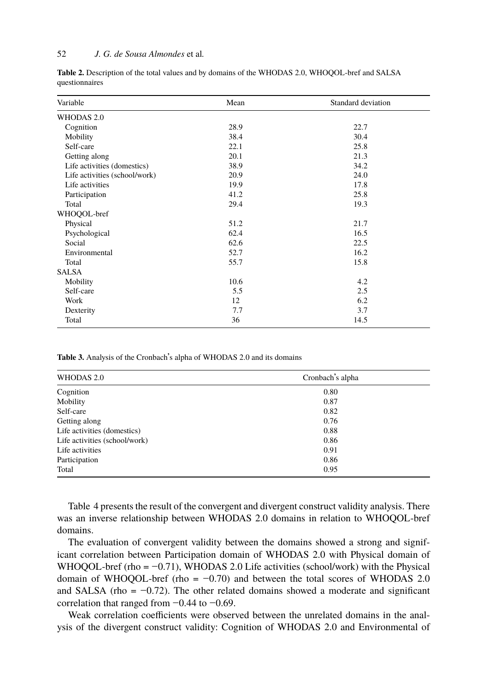<span id="page-5-0"></span>**Table 2.** Description of the total values and by domains of the WHODAS 2.0, WHOQOL-bref and SALSA questionnaires

| Variable                      | Mean | Standard deviation |
|-------------------------------|------|--------------------|
| WHODAS 2.0                    |      |                    |
| Cognition                     | 28.9 | 22.7               |
| Mobility                      | 38.4 | 30.4               |
| Self-care                     | 22.1 | 25.8               |
| Getting along                 | 20.1 | 21.3               |
| Life activities (domestics)   | 38.9 | 34.2               |
| Life activities (school/work) | 20.9 | 24.0               |
| Life activities               | 19.9 | 17.8               |
| Participation                 | 41.2 | 25.8               |
| Total                         | 29.4 | 19.3               |
| WHOQOL-bref                   |      |                    |
| Physical                      | 51.2 | 21.7               |
| Psychological                 | 62.4 | 16.5               |
| Social                        | 62.6 | 22.5               |
| Environmental                 | 52.7 | 16.2               |
| Total                         | 55.7 | 15.8               |
| <b>SALSA</b>                  |      |                    |
| Mobility                      | 10.6 | 4.2                |
| Self-care                     | 5.5  | 2.5                |
| Work                          | 12   | 6.2                |
| Dexterity                     | 7.7  | 3.7                |
| Total                         | 36   | 14.5               |

<span id="page-5-1"></span>**Table 3.** Analysis of the Cronbach's alpha of WHODAS 2.0 and its domains

| WHODAS 2.0                    | Cronbach's alpha |  |  |
|-------------------------------|------------------|--|--|
| Cognition                     | 0.80             |  |  |
| Mobility                      | 0.87             |  |  |
| Self-care                     | 0.82             |  |  |
| Getting along                 | 0.76             |  |  |
| Life activities (domestics)   | 0.88             |  |  |
| Life activities (school/work) | 0.86             |  |  |
| Life activities               | 0.91             |  |  |
| Participation                 | 0.86             |  |  |
| Total                         | 0.95             |  |  |

Table 4 presents the result of the convergent and divergent construct validity analysis. There was an inverse relationship between WHODAS 2.0 domains in relation to WHOQOL-bref domains.

The evaluation of convergent validity between the domains showed a strong and significant correlation between Participation domain of WHODAS 2.0 with Physical domain of WHOQOL-bref (rho =  $-0.71$ ), WHODAS 2.0 Life activities (school/work) with the Physical domain of WHOQOL-bref (rho =  $-0.70$ ) and between the total scores of WHODAS 2.0 and SALSA (rho = −0.72). The other related domains showed a moderate and significant correlation that ranged from −0.44 to −0.69.

Weak correlation coefficients were observed between the unrelated domains in the analysis of the divergent construct validity: Cognition of WHODAS 2.0 and Environmental of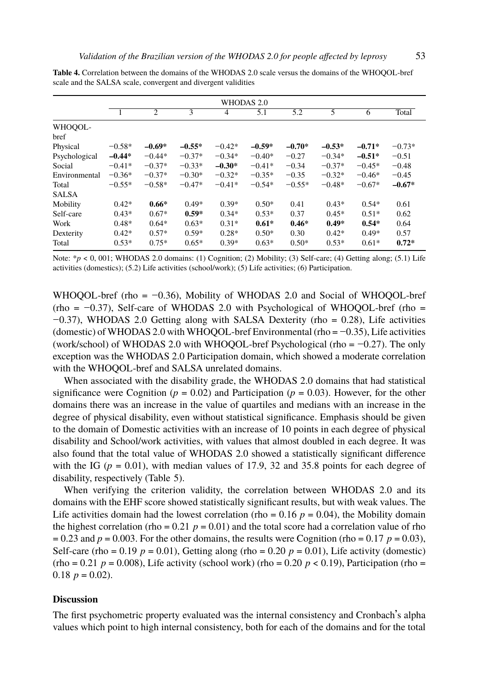**Table 4.** Correlation between the domains of the WHODAS 2.0 scale versus the domains of the WHOQOL-bref scale and the SALSA scale, convergent and divergent validities

|                 | WHODAS 2.0     |                |                |          |          |          |          |          |          |
|-----------------|----------------|----------------|----------------|----------|----------|----------|----------|----------|----------|
|                 | $\blacksquare$ | $\overline{2}$ | $\overline{3}$ | 4        | 5.1      | 5.2      | 5        | 6        | Total    |
| WHOOOL-<br>bref |                |                |                |          |          |          |          |          |          |
| Physical        | $-0.58*$       | $-0.69*$       | $-0.55*$       | $-0.42*$ | $-0.59*$ | $-0.70*$ | $-0.53*$ | $-0.71*$ | $-0.73*$ |
| Psychological   | $-0.44*$       | $-0.44*$       | $-0.37*$       | $-0.34*$ | $-0.40*$ | $-0.27$  | $-0.34*$ | $-0.51*$ | $-0.51$  |
| Social          | $-0.41*$       | $-0.37*$       | $-0.33*$       | $-0.30*$ | $-0.41*$ | $-0.34$  | $-0.37*$ | $-0.45*$ | $-0.48$  |
| Environmental   | $-0.36*$       | $-0.37*$       | $-0.30*$       | $-0.32*$ | $-0.35*$ | $-0.35$  | $-0.32*$ | $-0.46*$ | $-0.45$  |
| Total           | $-0.55*$       | $-0.58*$       | $-0.47*$       | $-0.41*$ | $-0.54*$ | $-0.55*$ | $-0.48*$ | $-0.67*$ | $-0.67*$ |
| <b>SALSA</b>    |                |                |                |          |          |          |          |          |          |
| Mobility        | $0.42*$        | $0.66*$        | $0.49*$        | $0.39*$  | $0.50*$  | 0.41     | $0.43*$  | $0.54*$  | 0.61     |
| Self-care       | $0.43*$        | $0.67*$        | $0.59*$        | $0.34*$  | $0.53*$  | 0.37     | $0.45*$  | $0.51*$  | 0.62     |
| Work            | $0.48*$        | $0.64*$        | $0.63*$        | $0.31*$  | $0.61*$  | $0.46*$  | $0.49*$  | $0.54*$  | 0.64     |
| Dexterity       | $0.42*$        | $0.57*$        | $0.59*$        | $0.28*$  | $0.50*$  | 0.30     | $0.42*$  | $0.49*$  | 0.57     |
| Total           | $0.53*$        | $0.75*$        | $0.65*$        | $0.39*$  | $0.63*$  | $0.50*$  | $0.53*$  | $0.61*$  | $0.72*$  |

Note: *\*p* < 0, 001; WHODAS 2.0 domains: (1) Cognition; (2) Mobility; (3) Self-care; (4) Getting along; (5.1) Life activities (domestics); (5.2) Life activities (school/work); (5) Life activities; (6) Participation.

WHOQOL-bref (rho =  $-0.36$ ), Mobility of WHODAS 2.0 and Social of WHOQOL-bref (rho =  $-0.37$ ), Self-care of WHODAS 2.0 with Psychological of WHOQOL-bref (rho = −0.37), WHODAS 2.0 Getting along with SALSA Dexterity (rho = 0.28), Life activities (domestic) of WHODAS 2.0 with WHOQOL-bref Environmental (rho = −0.35), Life activities (work/school) of WHODAS 2.0 with WHOQOL-bref Psychological (rho =  $-0.27$ ). The only exception was the WHODAS 2.0 Participation domain, which showed a moderate correlation with the WHOQOL-bref and [SA](#page-7-0)LSA unrelated domains.

When associated with the disability grade, the WHODAS 2.0 domains that had statistical significance were Cognition ( $p = 0.02$ ) and Participation ( $p = 0.03$ ). However, for the other domains there was an increase in the value of quartiles and medians with an increase in the degree of physical disability, even without statistical significance. Emphasis should be given to the domain of Domestic activities with an increase of 10 points in each degree of physical disability and School/work activities, with values that almost doubled in each degree. It was also found that the total value of WHODAS 2.0 showed a statistically significant difference with the IG ( $p = 0.01$ ), with median values of 17.9, 32 and 35.8 points for each degree of disability, respectively (Table 5).

When verifying the criterion validity, the correlation between WHODAS 2.0 and its domains with the EHF score showed statistically significant results, but with weak values. The Life activities domain had the lowest correlation (rho =  $0.16$  *p* =  $0.04$ ), the Mobility domain the highest correlation (rho =  $0.21$  *p* =  $0.01$ ) and the total score had a correlation value of rho  $= 0.23$  and  $p = 0.003$ . For the other domains, the results were Cognition (rho  $= 0.17$   $p = 0.03$ ), Self-care (rho =  $0.19$  *p* =  $0.01$ ), Getting along (rho =  $0.20$  *p* =  $0.01$ ), Life activity (domestic) (rho = 0.21  $p = 0.008$ ), Life activity (school work) (rho = 0.20  $p < 0.19$ ), Participation (rho = 0.18  $p = 0.02$ ).

## **Discussion**

The first psychometric property evaluated was the internal consistency and Cronbach's alpha values which point to high internal consistency, both for each of the domains and for the total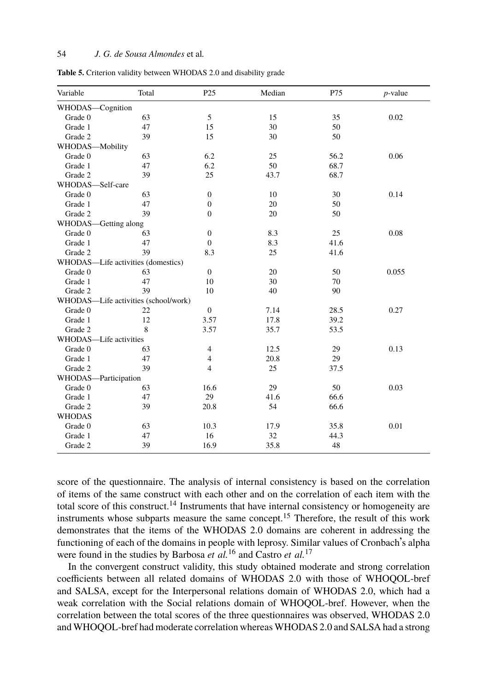<span id="page-7-0"></span>**Table 5.** Criterion validity between WHODAS 2.0 and disability grade

| Variable               | Total                                | P <sub>25</sub>  | Median | P75  | $p$ -value |
|------------------------|--------------------------------------|------------------|--------|------|------------|
| WHODAS-Cognition       |                                      |                  |        |      |            |
| Grade 0                | 63                                   | 5                | 15     | 35   | 0.02       |
| Grade 1                | 47                                   | 15               | 30     | 50   |            |
| Grade 2                | 39                                   | 15               | 30     | 50   |            |
| WHODAS-Mobility        |                                      |                  |        |      |            |
| Grade 0                | 63                                   | 6.2              | 25     | 56.2 | 0.06       |
| Grade 1                | 47                                   | 6.2              | 50     | 68.7 |            |
| Grade 2                | 39                                   | 25               | 43.7   | 68.7 |            |
| WHODAS-Self-care       |                                      |                  |        |      |            |
| Grade 0                | 63                                   | $\boldsymbol{0}$ | 10     | 30   | 0.14       |
| Grade 1                | 47                                   | $\boldsymbol{0}$ | 20     | 50   |            |
| Grade 2                | 39                                   | $\mathbf{0}$     | 20     | 50   |            |
| WHODAS-Getting along   |                                      |                  |        |      |            |
| Grade 0                | 63                                   | $\boldsymbol{0}$ | 8.3    | 25   | 0.08       |
| Grade 1                | 47                                   | $\mathbf{0}$     | 8.3    | 41.6 |            |
| Grade 2                | 39                                   | 8.3              | 25     | 41.6 |            |
|                        | WHODAS-Life activities (domestics)   |                  |        |      |            |
| Grade 0                | 63                                   | $\boldsymbol{0}$ | 20     | 50   | 0.055      |
| Grade 1                | 47                                   | 10               | 30     | 70   |            |
| Grade 2                | 39                                   | 10               | 40     | 90   |            |
|                        | WHODAS-Life activities (school/work) |                  |        |      |            |
| Grade 0                | 22                                   | $\boldsymbol{0}$ | 7.14   | 28.5 | 0.27       |
| Grade 1                | 12                                   | 3.57             | 17.8   | 39.2 |            |
| Grade 2                | 8                                    | 3.57             | 35.7   | 53.5 |            |
| WHODAS-Life activities |                                      |                  |        |      |            |
| Grade 0                | 63                                   | $\overline{4}$   | 12.5   | 29   | 0.13       |
| Grade 1                | 47                                   | $\overline{4}$   | 20.8   | 29   |            |
| Grade 2                | 39                                   | $\overline{4}$   | 25     | 37.5 |            |
| WHODAS-Participation   |                                      |                  |        |      |            |
| Grade 0                | 63                                   | 16.6             | 29     | 50   | 0.03       |
| Grade 1                | 47                                   | 29               | 41.6   | 66.6 |            |
| Grade 2                | 39                                   | 20.8             | 54     | 66.6 |            |
| <b>WHODAS</b>          |                                      |                  |        |      |            |
| Grade 0                | 63                                   | 10.3             | 17.9   | 35.8 | 0.01       |
| Grade 1                | 47                                   | 16               | 32     | 44.3 |            |
| Grade 2                | 39                                   | 16.9             | 35.8   | 48   |            |

score of the questionnaire. The analysis of internal consistency is based on the correlation of items of the same construct with each other and on the correlation of each item with the total score of this construct.<sup>14</sup> Instruments that have internal consistency or homogeneity are instruments whose subparts measure the same concept.<sup>15</sup> Therefore, the result of this work demonstrates that the items of the WHODAS 2.0 domains are coherent in addressing the functioning of each of the domains in people with leprosy. Similar values of Cronbach's alpha were found in the studies by Barbosa *et al.*<sup>16</sup> and Castro *et al.*<sup>17</sup>

In the convergent construct validity, this study obtained moderate and strong correlation coefficients between all related domains of WHODAS 2.0 with those of WHOQOL-bref and SALSA, except for the Interpersonal relations domain of WHODAS 2.0, which had a weak correlation with the Social relations domain of WHOQOL-bref. However, when the correlation between the total scores of the three questionnaires was observed, WHODAS 2.0 and WHOQOL-bref had moderate correlation whereas WHODAS 2.0 and SALSA had a strong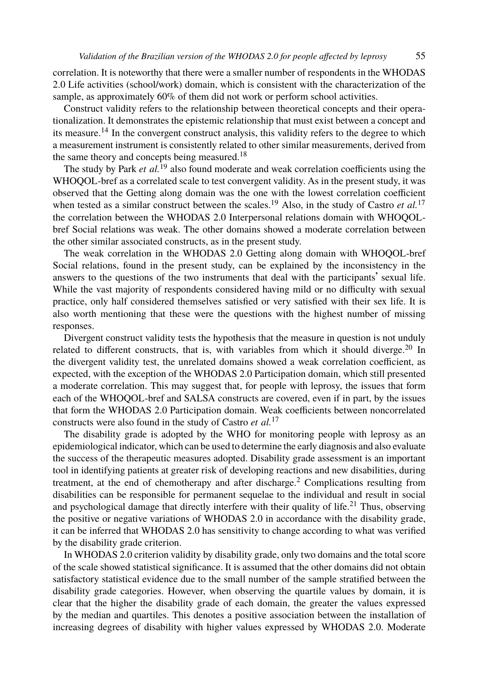correlation. It is noteworthy that there were a smaller number of respondents in the WHODAS 2.0 Life activities (school/work) domain, which is consistent with the characterization of the sample, as approximately 60% of them did not work o[r p](#page-11-1)erform school activities.

Construct validity refers to the relationship between theoretical concepts and their operationalization. It demonstrates the epistemic relationship that must exist between a concept and its measure.<sup>14</sup> In the convergent construct analysis, this validity refers to the degree to which a measurement instrument is consistently related to other similar measurements, derived from the same theory and concepts being measured.<sup>18</sup>

The study by Park *et al.*<sup>19</sup> also found moderate and weak correlation coefficients using the WHOQOL-bref as a correlated scale to test convergent validity. As in the present study, it was observed that the Getting along domain was the one with the lowest correlation coefficient when tested as a similar construct between the scales.<sup>19</sup> Also, in the study of Castro *et al.*<sup>17</sup> the correlation between the WHODAS 2.0 Interpersonal relations domain with WHOQOLbref Social relations was weak. The other domains showed a moderate correlation between the other similar associated constructs, as in the present study.

The weak correlation in the WHODAS 2.0 Getting along domain with WHOQOL-bref Social relations, found in the present study, can be explained by the inconsistency in the answers to the questions of the two instruments that deal with the participants' sexual life. While the vast majority of respondents considered having mild or no difficulty with sexual practice, only half considered themselves satisfied or very satisfied with their sex life. It is also worth mentioning that these were the question[s w](#page-10-10)ith the highest number of missing responses.

Divergent construct validity tests the hypothesis that the measure in question is not unduly related to different constructs, that is, with variables from which it should diverge.<sup>20</sup> In the divergent validity test, the unrelated domains showed a weak correlation coefficient, as expected, with the exception of the WHODAS 2.0 Participati[o](#page-10-6)n domain, which still presented a moderate correlation. This may suggest that, for people with leprosy, the issues that form each of the WHOQOL-bref and SALSA constructs are covered, even if i[n p](#page-11-2)art, by the issues that form the WHODAS 2.0 Participation domain. Weak coefficients between noncorrelated constructs were also found in the study of Castro *et al.*<sup>17</sup>

The disability grade is adopted by the WHO for monitoring people with leprosy as an epidemiological indicator, which can be used to determine the early diagnosis and also evaluate the success of the therapeutic measures adopted. Disability grade assessment is an important tool in identifying patients at greater risk of developing reactions and new disabilities, during treatment, at the end of chemotherapy and after discharge.<sup>2</sup> Complications resulting from disabilities can be responsible for permanent sequelae to the individual and result in social and psychological damage that directly interfere with their quality of life.<sup>21</sup> Thus, observing the positive or negative variations of WHODAS 2.0 in accordance with the disability grade, it can be inferred that WHODAS 2.0 has sensitivity to change according to what was verified by the disability grade criterion.

In WHODAS 2.0 criterion validity by disability grade, only two domains and the total score of the scale showed statistical significance. It is assumed that the other domains did not obtain satisfactory statistical evidence due to the small number of the sample stratified between the disability grade categories. However, when observing the quartile values by domain, it is clear that the higher the disability grade of each domain, the greater the values expressed by the median and quartiles. This denotes a positive association between the installation of increasing degrees of disability with higher values expressed by WHODAS 2.0. Moderate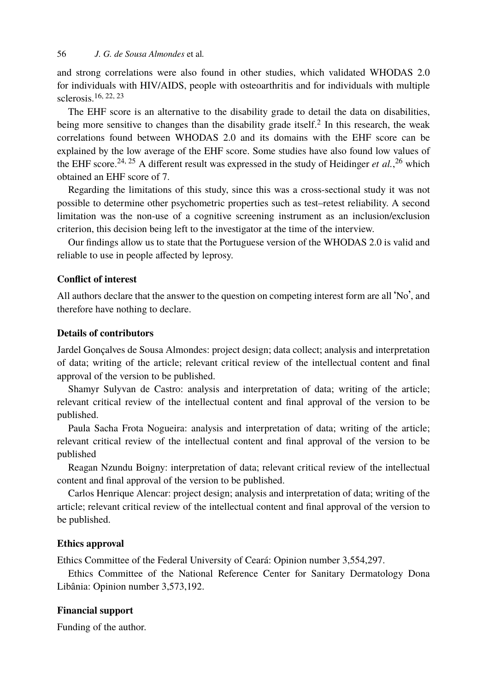and strong correlations were also found in other studies, which validated WHODAS 2.0 for individuals with HIV/AIDS, people with osteoarthritis and for individuals with multiple sclerosis.16, 22, <sup>23</sup>

The EHF score is an alternative to the disability grade to detail the data on disabilities, being more sensitive to changes than the disability grade itself.<sup>2</sup> In this research, the weak correlations found between WHODAS 2.0 and its domains with the EHF score can be explained by the low average of the EHF score. Some studies have also found low values of the EHF score.<sup>24, 25</sup> A different result was expressed in the study of Heidinger *et al.*,<sup>26</sup> which obtained an EHF score of 7.

Regarding the limitations of this study, since this was a cross-sectional study it was not possible to determine other psychometric properties such as test–retest reliability. A second limitation was the non-use of a cognitive screening instrument as an inclusion/exclusion criterion, this decision being left to the investigator at the time of the interview.

Our findings allow us to state that the Portuguese version of the WHODAS 2.0 is valid and reliable to use in people affected by leprosy.

### **Conflict of interest**

All authors declare that the answer to the question on competing interest form are all 'No', and therefore have nothing to declare.

#### **Details of contributors**

Jardel Gonçalves de Sousa Almondes: project design; data collect; analysis and interpretation of data; writing of the article; relevant critical review of the intellectual content and final approval of the version to be published.

Shamyr Sulyvan de Castro: analysis and interpretation of data; writing of the article; relevant critical review of the intellectual content and final approval of the version to be published.

Paula Sacha Frota Nogueira: analysis and interpretation of data; writing of the article; relevant critical review of the intellectual content and final approval of the version to be published

Reagan Nzundu Boigny: interpretation of data; relevant critical review of the intellectual content and final approval of the version to be published.

Carlos Henrique Alencar: project design; analysis and interpretation of data; writing of the article; relevant critical review of the intellectual content and final approval of the version to be published.

# **Ethics approval**

Ethics Committee of the Federal University of Ceará: Opinion number 3,554,297.

Ethics Committee of the National Reference Center for Sanitary Dermatology Dona Libânia: Opinion number 3,573,192.

#### **Financial support**

Funding of the author.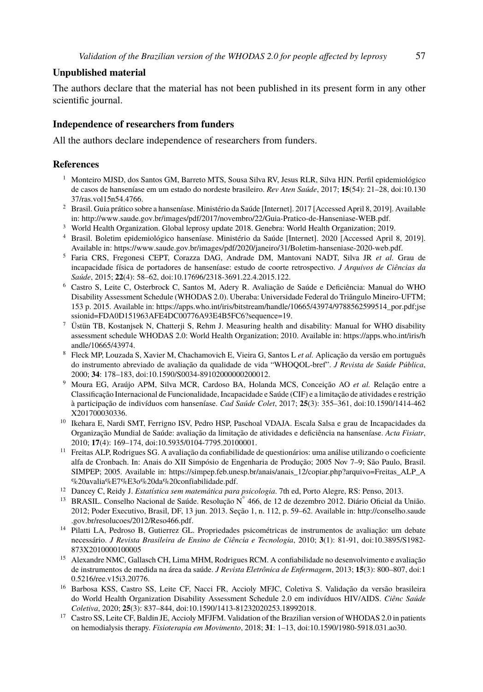#### <span id="page-10-0"></span>**Unpublished material**

<span id="page-10-6"></span>The [authors declare th](http://doi.org/10.13037/ras.vol15n54.4766)at the material has not been published in its present form in any [other](http://doi.org/10.13037/ras.vol15n54.4766) scientific journal.

#### <span id="page-10-1"></span>**Independence of researchers from funders**

<span id="page-10-2"></span>All the authors [declare independence of researchers from funders.](https://www.saude.gov.br/images/pdf/2020/janeiro/31/Boletim-hanseniase-2020-web.pdf)

#### <span id="page-10-3"></span>**References**

- <sup>1</sup> Monteiro MJSD, dos Santos GM, Barreto MTS, Sousa Silva RV, Jesus RLR, Silva HJN. Perfil epidemiológico de casos de hanseníase e[m um estado do nordeste brasileiro.](https://apps.who.int/iris/bitstream/handle/10665/43974/9788562599514˙por.pdf;jsessionid=FDA0D151963AFE4DC00776A93E4B5FC6?sequence=19) *Rev Aten Saúde*[, 2017;](https://apps.who.int/iris/bitstream/handle/10665/43974/9788562599514˙por.pdf;jsessionid=FDA0D151963AFE4DC00776A93E4B5FC6?sequence=19) **15**[\(54\): 21–28, doi:10.130](https://apps.who.int/iris/bitstream/handle/10665/43974/9788562599514˙por.pdf;jsessionid=FDA0D151963AFE4DC00776A93E4B5FC6?sequence=19) 37/ras.vol15n54.4766.
- <span id="page-10-4"></span><sup>2</sup> [Brasil. Guia prático sobre a hanseníase. Ministério da Saúde \[Internet\]](https://apps.who.int/iris/bitstream/handle/10665/43974/9788562599514˙por.pdf;jsessionid=FDA0D151963AFE4DC00776A93E4B5FC6?sequence=19). 2017 [Accessed April 8, 2019]. Available in: http://www.saude.gov.br/images/pdf/2017/novembro/22/Guia-Pratico-de-Hanseniase-WEB.pdf.
- <sup>3</sup> World Health Organization. Global leprosy update 2018. Genebra: World Health Or[ganization; 2019.](https://apps.who.int/iris/handle/10665/43974)
- <span id="page-10-5"></span><sup>4</sup> [Brasil. Boletim epi](https://apps.who.int/iris/handle/10665/43974)demiológico hanseníase. Ministério da Saúde [Internet]. 2020 [Accessed April 8, 2019]. Available in: https://www.saude.gov.br/images/pdf/2020/janeiro/31/Boletim-hanseniase-2020-web.pdf.
- <sup>5</sup> Faria CRS, Fregonesi CEPT, Corazza DAG, Andrade DM, Mantovani NADT, Silva JR *et al.* Grau de incapacidade física de [portadores de hanseníase: estudo de](http://doi.org/10.1590/S0034-89102000000200012) coorte retrospectivo. *J Arquivos de Ciências da Saúde*, 2015; **22**(4): 58–62, doi:10.17696/2318-3691.22.4.2015.122.
- <sup>6</sup> Castro S, Leite C, Osterbrock C, Santos M, Adery R. Avaliação de Saúde e Deficiência: Manual do WHO Disability Assessment Schedule (WHODAS 2.0). Uberaba: Universidade Federal do Triângu[lo Mineiro-UFTM;](http://doi.org/10.1590/1414-462X201700030336) [153 p. 2015. Ava](http://doi.org/10.1590/1414-462X201700030336)ilable in: https://apps.who.int/iris/bitstream/handle/10665/43974/9788562599514\_por.pdf;jse ssionid=FDA0D151963AFE4DC00776A93E4B5FC6?sequence=19.
- <sup>7</sup> Üstün TB, Kostanjsek N, Chatterji S, Rehm J. Measuring health and disability: Manual for WHO disability assessment schedule WHO[DAS 2.0: World Health Organi](http://doi.org/10.5935/0104-7795.20100001)zation; 2010. Available in: https://apps.who.int/iris/h andle/10665/43974.
- <span id="page-10-7"></span><sup>8</sup> Fleck MP, Louzada S, Xavier M, Chachamovich E, Vieira G, Santos L *et al.* Aplicação da versão em português do instrumento abreviado de [avaliação da qualidade de vida "WHOQOL-bref".](https://simpep.feb.unesp.br/anais/anais˙12/copiar.php?arquivo=Freitas˙ALP˙A%20avalia%E7%E3o%20da%20confiabilidade.pdf) *[J Revista de Saúde Pública](https://simpep.feb.unesp.br/anais/anais˙12/copiar.php?arquivo=Freitas˙ALP˙A%20avalia%E7%E3o%20da%20confiabilidade.pdf)*, [2000;](https://simpep.feb.unesp.br/anais/anais˙12/copiar.php?arquivo=Freitas˙ALP˙A%20avalia%E7%E3o%20da%20confiabilidade.pdf) **[34](https://simpep.feb.unesp.br/anais/anais˙12/copiar.php?arquivo=Freitas˙ALP˙A%20avalia%E7%E3o%20da%20confiabilidade.pdf)**[: 178–183, doi:10.1590/S0034-891020000](https://simpep.feb.unesp.br/anais/anais˙12/copiar.php?arquivo=Freitas˙ALP˙A%20avalia%E7%E3o%20da%20confiabilidade.pdf)00200012.
- <span id="page-10-9"></span><span id="page-10-8"></span><sup>9</sup> Moura EG, Araújo APM, Silva MCR, Cardoso BA, Holanda MCS, Conceição AO *et al.* Relação entre a Classificação Internacional de Funcionalidade, Incapacidade e Saúde (CIF) e a limitação de atividades e restrição à participação de [indivíduos com han](http://conselho.saude.gov.br/resolucoes/2012/Reso466.pdf)seníase. *Cad Saúde Colet*, 2017; **25**(3): 355–361, [doi:10.1590/1414-462](http://conselho.saude.gov.br/resolucoes/2012/Reso466.pdf) [X201700030336.](http://conselho.saude.gov.br/resolucoes/2012/Reso466.pdf)
- <sup>10</sup> Ikehara E, Nardi SMT, Ferrigno ISV, Pedro HSP, Paschoal VDAJA. Escala Salsa e grau de Incapacidades da Organização Mundial de Saúde: avaliação da limitação de atividades e deficiência na hanseníase. *Acta Fisiatr*, 2010; **17**(4): 169–174, doi:10.5935/0104-7795.20100001.
- <sup>11</sup> Freitas ALP, Rodrigues SG. A avaliação da confiabilidade de questionários: uma análise utilizando o coeficiente alfa de Cronbach. In: Anais do XII Simpósio de Engenharia de Produção; 2005 Nov 7–9; São Paulo, Bras[il.](http://doi.org/10.5216/ree.v15i3.20776) [SIMPEP; 2005. Availab](http://doi.org/10.5216/ree.v15i3.20776)le in: https://simpep.feb.unesp.br/anais/anais\_12/copiar.php?arquivo=Freitas\_ALP\_A %20avalia%E7%E3o%20da%20confiabilidade.pdf.
- <sup>12</sup> Dancey C, Reidy J. *Estatística sem matemática para psicologia*. 7th ed, Porto Alegre, RS: Penso, 2013.
- <span id="page-10-10"></span><sup>13</sup> BRASIL. Conselho Nacional de Sa[úde. Resolução N](http://doi.org/10.1590/1413-81232020253.18992018)[°](http://doi.org/10.1590/1413-81232020253.18992018) [466, de 12 de dezem](http://doi.org/10.1590/1413-81232020253.18992018)bro 2012. Diário Oficial da União. 2012; Poder Executivo, Brasil, DF, 13 jun. 2013. Seção 1, n. 112, p. 59–62. Available in: http://conselho.saude .gov.br/resolucoes/2012/Reso466.pdf.
- <sup>14</sup> Pilatti LA, Pedroso B, Gutierrez GL. Propriedades psicométricas de instrumentos de avaliação: um debate necessário. *J Revista Brasileira de Ensino de Ciência e Tecnologia*, 2010; **3**(1): 81-91, doi:10.3895/S1982- 873X2010000100005
- <sup>15</sup> Alexandre NMC, Gallasch CH, Lima MHM, Rodrigues RCM. A confiabilidade no desenvolvimento e avaliação de instrumentos de medida na área da saúde. *J Revista Eletrônica de Enfermagem*, 2013; **15**(3): 800–807, doi:1 0.5216/ree.v15i3.20776.
- <sup>16</sup> Barbosa KSS, Castro SS, Leite CF, Nacci FR, Accioly MFJC, Coletiva S. Validação da versão brasileira do World Health Organization Disability Assessment Schedule 2.0 em indivíduos HIV/AIDS. *Ciênc Saúde Coletiva*, 2020; **25**(3): 837–844, doi:10.1590/1413-81232020253.18992018.
- <sup>17</sup> Castro SS, Leite CF, Baldin JE, Accioly MFJFM. Validation of the Brazilian version of WHODAS 2.0 in patients on hemodialysis therapy. *Fisioterapia em Movimento*, 2018; **31**: 1–13, doi:10.1590/1980-5918.031.ao30.